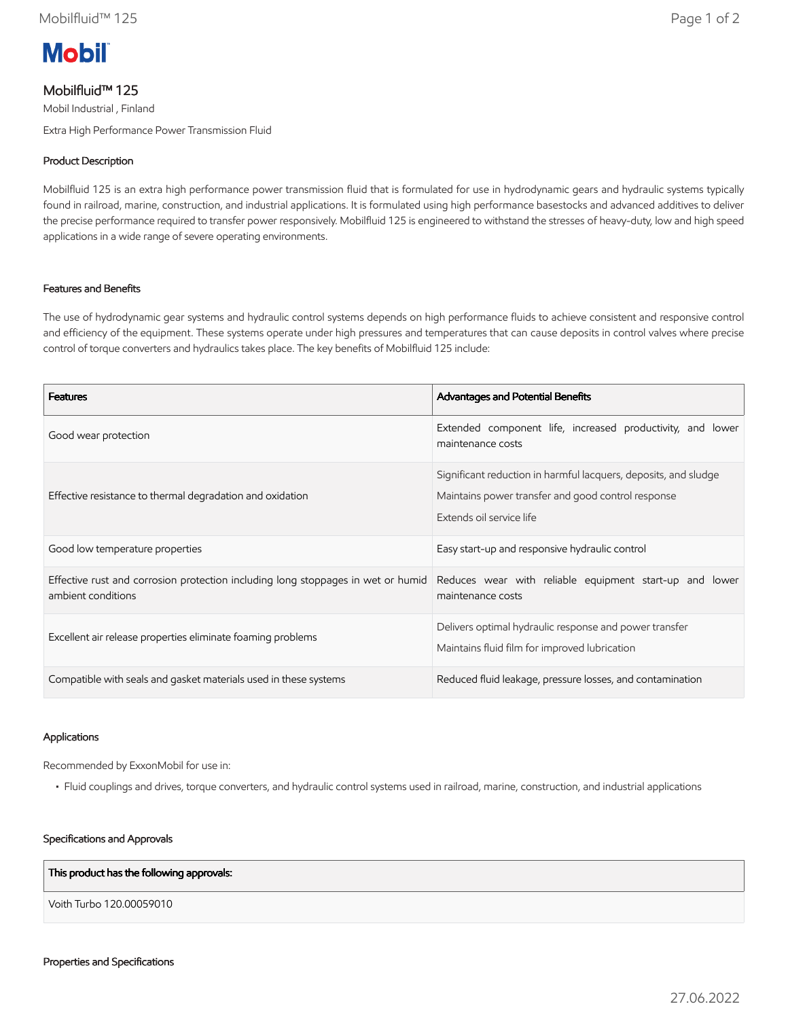

# Mobilfluid™ 125

Mobil Industrial , Finland Extra High Performance Power Transmission Fluid

# Product Description

Mobilfluid 125 is an extra high performance power transmission fluid that is formulated for use in hydrodynamic gears and hydraulic systems typically found in railroad, marine, construction, and industrial applications. It is formulated using high performance basestocks and advanced additives to deliver the precise performance required to transfer power responsively. Mobilfluid 125 is engineered to withstand the stresses of heavy-duty, low and high speed applications in a wide range of severe operating environments.

# Features and Benefits

The use of hydrodynamic gear systems and hydraulic control systems depends on high performance fluids to achieve consistent and responsive control and efficiency of the equipment. These systems operate under high pressures and temperatures that can cause deposits in control valves where precise control of torque converters and hydraulics takes place. The key benefits of Mobilfluid 125 include:

| <b>Features</b>                                                                                        | Advantages and Potential Benefits                                                                                                                 |
|--------------------------------------------------------------------------------------------------------|---------------------------------------------------------------------------------------------------------------------------------------------------|
| Good wear protection                                                                                   | Extended component life, increased productivity, and lower<br>maintenance costs                                                                   |
| Effective resistance to thermal degradation and oxidation                                              | Significant reduction in harmful lacquers, deposits, and sludge<br>Maintains power transfer and good control response<br>Extends oil service life |
| Good low temperature properties                                                                        | Easy start-up and responsive hydraulic control                                                                                                    |
| Effective rust and corrosion protection including long stoppages in wet or humid<br>ambient conditions | Reduces wear with reliable equipment start-up and lower<br>maintenance costs                                                                      |
| Excellent air release properties eliminate foaming problems                                            | Delivers optimal hydraulic response and power transfer<br>Maintains fluid film for improved lubrication                                           |
| Compatible with seals and gasket materials used in these systems                                       | Reduced fluid leakage, pressure losses, and contamination                                                                                         |

#### Applications

Recommended by ExxonMobil for use in:

• Fluid couplings and drives, torque converters, and hydraulic control systems used in railroad, marine, construction, and industrial applications

#### Specifications and Approvals

## This product has the following approvals:

Voith Turbo 120.00059010